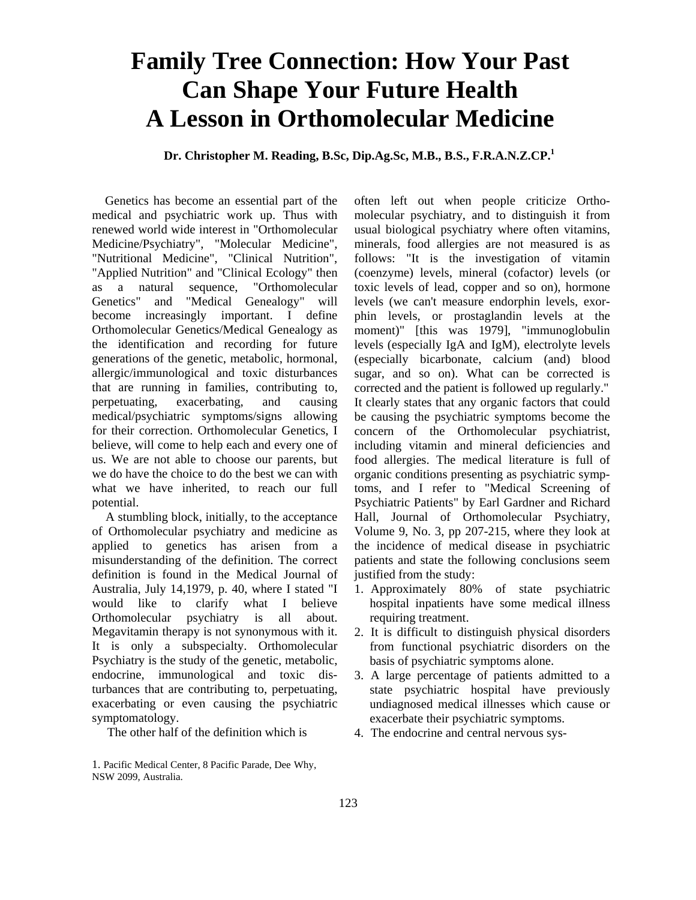## **Family Tree Connection: How Your Past Can Shape Your Future Health A Lesson in Orthomolecular Medicine**

 **Dr. Christopher M. Reading, B.Sc, Dip.Ag.Sc, M.B., B.S., F.R.A.N.Z.CP.1**

Genetics has become an essential part of the medical and psychiatric work up. Thus with renewed world wide interest in "Orthomolecular Medicine/Psychiatry", "Molecular Medicine", "Nutritional Medicine", "Clinical Nutrition", "Applied Nutrition" and "Clinical Ecology" then as a natural sequence, "Orthomolecular Genetics" and "Medical Genealogy" will become increasingly important. I define Orthomolecular Genetics/Medical Genealogy as the identification and recording for future generations of the genetic, metabolic, hormonal, allergic/immunological and toxic disturbances that are running in families, contributing to, perpetuating, exacerbating, and causing medical/psychiatric symptoms/signs allowing for their correction. Orthomolecular Genetics, I believe, will come to help each and every one of us. We are not able to choose our parents, but we do have the choice to do the best we can with what we have inherited, to reach our full potential.

A stumbling block, initially, to the acceptance of Orthomolecular psychiatry and medicine as applied to genetics has arisen from a misunderstanding of the definition. The correct definition is found in the Medical Journal of Australia, July 14,1979, p. 40, where I stated "I would like to clarify what I believe Orthomolecular psychiatry is all about. Megavitamin therapy is not synonymous with it. It is only a subspecialty. Orthomolecular Psychiatry is the study of the genetic, metabolic, endocrine, immunological and toxic disturbances that are contributing to, perpetuating, exacerbating or even causing the psychiatric symptomatology.

The other half of the definition which is

often left out when people criticize Orthomolecular psychiatry, and to distinguish it from usual biological psychiatry where often vitamins, minerals, food allergies are not measured is as follows: "It is the investigation of vitamin (coenzyme) levels, mineral (cofactor) levels (or toxic levels of lead, copper and so on), hormone levels (we can't measure endorphin levels, exorphin levels, or prostaglandin levels at the moment)" [this was 1979], "immunoglobulin levels (especially IgA and IgM), electrolyte levels (especially bicarbonate, calcium (and) blood sugar, and so on). What can be corrected is corrected and the patient is followed up regularly." It clearly states that any organic factors that could be causing the psychiatric symptoms become the concern of the Orthomolecular psychiatrist, including vitamin and mineral deficiencies and food allergies. The medical literature is full of organic conditions presenting as psychiatric symptoms, and I refer to "Medical Screening of Psychiatric Patients" by Earl Gardner and Richard Hall, Journal of Orthomolecular Psychiatry, Volume 9, No. 3, pp 207-215, where they look at the incidence of medical disease in psychiatric patients and state the following conclusions seem justified from the study:

- 1. Approximately 80% of state psychiatric hospital inpatients have some medical illness requiring treatment.
- 2. It is difficult to distinguish physical disorders from functional psychiatric disorders on the basis of psychiatric symptoms alone.
- 3. A large percentage of patients admitted to a state psychiatric hospital have previously undiagnosed medical illnesses which cause or exacerbate their psychiatric symptoms.
- 4. The endocrine and central nervous sys-

<sup>1.</sup> Pacific Medical Center, 8 Pacific Parade, Dee Why, NSW 2099, Australia.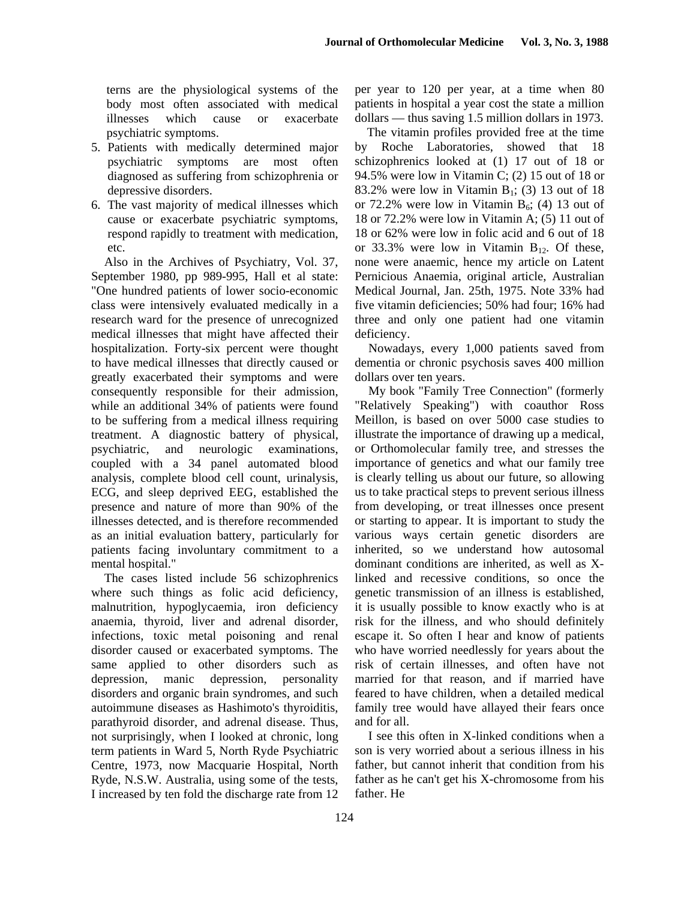terns are the physiological systems of the body most often associated with medical illnesses which cause or exacerbate psychiatric symptoms.

- 5. Patients with medically determined major psychiatric symptoms are most often diagnosed as suffering from schizophrenia or depressive disorders.
- 6. The vast majority of medical illnesses which cause or exacerbate psychiatric symptoms, respond rapidly to treatment with medication, etc.

Also in the Archives of Psychiatry, Vol. 37, September 1980, pp 989-995, Hall et al state: "One hundred patients of lower socio-economic class were intensively evaluated medically in a research ward for the presence of unrecognized medical illnesses that might have affected their hospitalization. Forty-six percent were thought to have medical illnesses that directly caused or greatly exacerbated their symptoms and were consequently responsible for their admission, while an additional 34% of patients were found to be suffering from a medical illness requiring treatment. A diagnostic battery of physical, psychiatric, and neurologic examinations, coupled with a 34 panel automated blood analysis, complete blood cell count, urinalysis, ECG, and sleep deprived EEG, established the presence and nature of more than 90% of the illnesses detected, and is therefore recommended as an initial evaluation battery, particularly for patients facing involuntary commitment to a mental hospital."

The cases listed include 56 schizophrenics where such things as folic acid deficiency, malnutrition, hypoglycaemia, iron deficiency anaemia, thyroid, liver and adrenal disorder, infections, toxic metal poisoning and renal disorder caused or exacerbated symptoms. The same applied to other disorders such as depression, manic depression, personality disorders and organic brain syndromes, and such autoimmune diseases as Hashimoto's thyroiditis, parathyroid disorder, and adrenal disease. Thus, not surprisingly, when I looked at chronic, long term patients in Ward 5, North Ryde Psychiatric Centre, 1973, now Macquarie Hospital, North Ryde, N.S.W. Australia, using some of the tests, I increased by ten fold the discharge rate from 12 per year to 120 per year, at a time when 80 patients in hospital a year cost the state a million dollars — thus saving 1.5 million dollars in 1973.

The vitamin profiles provided free at the time by Roche Laboratories, showed that 18 schizophrenics looked at (1) 17 out of 18 or 94.5% were low in Vitamin C; (2) 15 out of 18 or 83.2% were low in Vitamin  $B_1$ ; (3) 13 out of 18 or 72.2% were low in Vitamin  $B_6$ ; (4) 13 out of 18 or 72.2% were low in Vitamin A; (5) 11 out of 18 or 62% were low in folic acid and 6 out of 18 or 33.3% were low in Vitamin  $B_{12}$ . Of these, none were anaemic, hence my article on Latent Pernicious Anaemia, original article, Australian Medical Journal, Jan. 25th, 1975. Note 33% had five vitamin deficiencies; 50% had four; 16% had three and only one patient had one vitamin deficiency.

Nowadays, every 1,000 patients saved from dementia or chronic psychosis saves 400 million dollars over ten years.

My book "Family Tree Connection" (formerly "Relatively Speaking") with coauthor Ross Meillon, is based on over 5000 case studies to illustrate the importance of drawing up a medical, or Orthomolecular family tree, and stresses the importance of genetics and what our family tree is clearly telling us about our future, so allowing us to take practical steps to prevent serious illness from developing, or treat illnesses once present or starting to appear. It is important to study the various ways certain genetic disorders are inherited, so we understand how autosomal dominant conditions are inherited, as well as Xlinked and recessive conditions, so once the genetic transmission of an illness is established, it is usually possible to know exactly who is at risk for the illness, and who should definitely escape it. So often I hear and know of patients who have worried needlessly for years about the risk of certain illnesses, and often have not married for that reason, and if married have feared to have children, when a detailed medical family tree would have allayed their fears once and for all.

I see this often in X-linked conditions when a son is very worried about a serious illness in his father, but cannot inherit that condition from his father as he can't get his X-chromosome from his father. He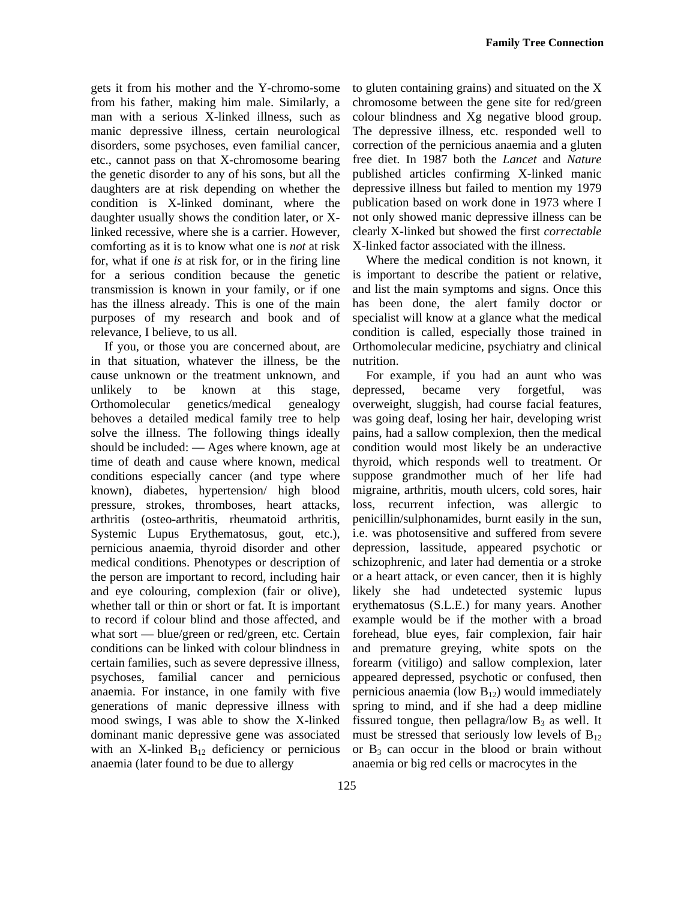gets it from his mother and the Y-chromo-some from his father, making him male. Similarly, a man with a serious X-linked illness, such as manic depressive illness, certain neurological disorders, some psychoses, even familial cancer, etc., cannot pass on that X-chromosome bearing the genetic disorder to any of his sons, but all the daughters are at risk depending on whether the condition is X-linked dominant, where the daughter usually shows the condition later, or Xlinked recessive, where she is a carrier. However, comforting as it is to know what one is *not* at risk for, what if one *is* at risk for, or in the firing line for a serious condition because the genetic transmission is known in your family, or if one has the illness already. This is one of the main purposes of my research and book and of relevance, I believe, to us all.

If you, or those you are concerned about, are in that situation, whatever the illness, be the cause unknown or the treatment unknown, and unlikely to be known at this stage, Orthomolecular genetics/medical genealogy behoves a detailed medical family tree to help solve the illness. The following things ideally should be included: — Ages where known, age at time of death and cause where known, medical conditions especially cancer (and type where known), diabetes, hypertension/ high blood pressure, strokes, thromboses, heart attacks, arthritis (osteo-arthritis, rheumatoid arthritis, Systemic Lupus Erythematosus, gout, etc.), pernicious anaemia, thyroid disorder and other medical conditions. Phenotypes or description of the person are important to record, including hair and eye colouring, complexion (fair or olive), whether tall or thin or short or fat. It is important to record if colour blind and those affected, and what sort — blue/green or red/green, etc. Certain conditions can be linked with colour blindness in certain families, such as severe depressive illness, psychoses, familial cancer and pernicious anaemia. For instance, in one family with five generations of manic depressive illness with mood swings, I was able to show the X-linked dominant manic depressive gene was associated with an X-linked  $B_{12}$  deficiency or pernicious anaemia (later found to be due to allergy

to gluten containing grains) and situated on the X chromosome between the gene site for red/green colour blindness and Xg negative blood group. The depressive illness, etc. responded well to correction of the pernicious anaemia and a gluten free diet. In 1987 both the *Lancet* and *Nature*  published articles confirming X-linked manic depressive illness but failed to mention my 1979 publication based on work done in 1973 where I not only showed manic depressive illness can be clearly X-linked but showed the first *correctable*  X-linked factor associated with the illness.

Where the medical condition is not known, it is important to describe the patient or relative, and list the main symptoms and signs. Once this has been done, the alert family doctor or specialist will know at a glance what the medical condition is called, especially those trained in Orthomolecular medicine, psychiatry and clinical nutrition.

For example, if you had an aunt who was depressed, became very forgetful, was overweight, sluggish, had course facial features, was going deaf, losing her hair, developing wrist pains, had a sallow complexion, then the medical condition would most likely be an underactive thyroid, which responds well to treatment. Or suppose grandmother much of her life had migraine, arthritis, mouth ulcers, cold sores, hair loss, recurrent infection, was allergic to penicillin/sulphonamides, burnt easily in the sun, i.e. was photosensitive and suffered from severe depression, lassitude, appeared psychotic or schizophrenic, and later had dementia or a stroke or a heart attack, or even cancer, then it is highly likely she had undetected systemic lupus erythematosus (S.L.E.) for many years. Another example would be if the mother with a broad forehead, blue eyes, fair complexion, fair hair and premature greying, white spots on the forearm (vitiligo) and sallow complexion, later appeared depressed, psychotic or confused, then pernicious anaemia (low  $B_{12}$ ) would immediately spring to mind, and if she had a deep midline fissured tongue, then pellagra/low  $B_3$  as well. It must be stressed that seriously low levels of  $B_{12}$ or  $B_3$  can occur in the blood or brain without anaemia or big red cells or macrocytes in the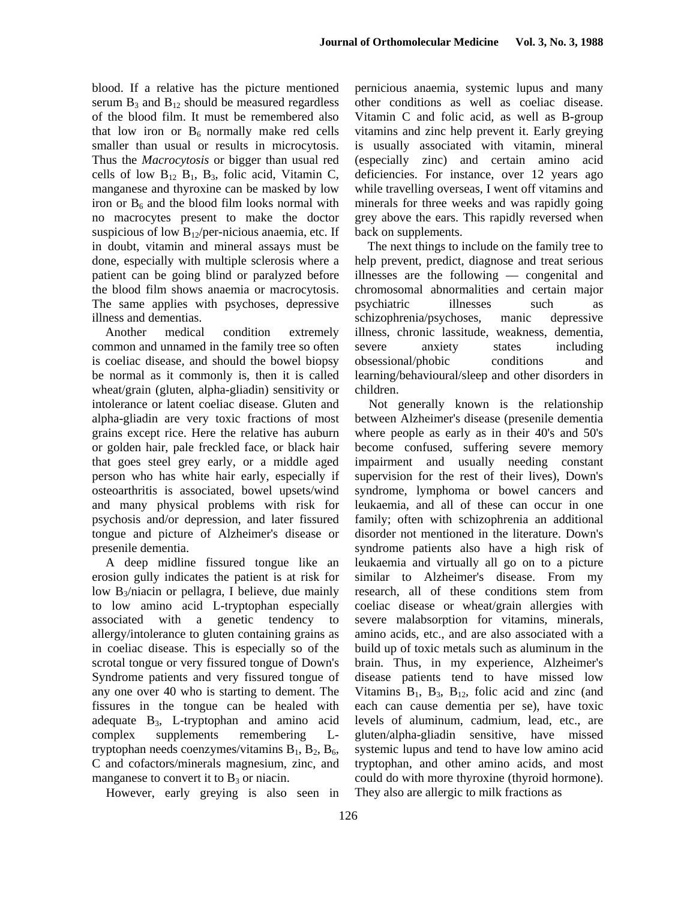blood. If a relative has the picture mentioned serum  $B_3$  and  $B_{12}$  should be measured regardless of the blood film. It must be remembered also that low iron or  $B_6$  normally make red cells smaller than usual or results in microcytosis. Thus the *Macrocytosis* or bigger than usual red cells of low  $B_{12}$   $B_1$ ,  $B_3$ , folic acid, Vitamin C, manganese and thyroxine can be masked by low iron or  $B_6$  and the blood film looks normal with no macrocytes present to make the doctor suspicious of low  $B_{12}/per$ -nicious anaemia, etc. If in doubt, vitamin and mineral assays must be done, especially with multiple sclerosis where a patient can be going blind or paralyzed before the blood film shows anaemia or macrocytosis. The same applies with psychoses, depressive illness and dementias.

Another medical condition extremely common and unnamed in the family tree so often is coeliac disease, and should the bowel biopsy be normal as it commonly is, then it is called wheat/grain (gluten, alpha-gliadin) sensitivity or intolerance or latent coeliac disease. Gluten and alpha-gliadin are very toxic fractions of most grains except rice. Here the relative has auburn or golden hair, pale freckled face, or black hair that goes steel grey early, or a middle aged person who has white hair early, especially if osteoarthritis is associated, bowel upsets/wind and many physical problems with risk for psychosis and/or depression, and later fissured tongue and picture of Alzheimer's disease or presenile dementia.

A deep midline fissured tongue like an erosion gully indicates the patient is at risk for low  $B_3/ni$  acin or pellagra, I believe, due mainly to low amino acid L-tryptophan especially associated with a genetic tendency to allergy/intolerance to gluten containing grains as in coeliac disease. This is especially so of the scrotal tongue or very fissured tongue of Down's Syndrome patients and very fissured tongue of any one over 40 who is starting to dement. The fissures in the tongue can be healed with adequate  $B_3$ , L-tryptophan and amino acid complex supplements remembering Ltryptophan needs coenzymes/vitamins  $B_1$ ,  $B_2$ ,  $B_6$ , C and cofactors/minerals magnesium, zinc, and manganese to convert it to  $B_3$  or niacin.

However, early greying is also seen in

pernicious anaemia, systemic lupus and many other conditions as well as coeliac disease. Vitamin C and folic acid, as well as B-group vitamins and zinc help prevent it. Early greying is usually associated with vitamin, mineral (especially zinc) and certain amino acid deficiencies. For instance, over 12 years ago while travelling overseas, I went off vitamins and minerals for three weeks and was rapidly going grey above the ears. This rapidly reversed when back on supplements.

The next things to include on the family tree to help prevent, predict, diagnose and treat serious illnesses are the following — congenital and chromosomal abnormalities and certain major psychiatric illnesses such as schizophrenia/psychoses, manic depressive illness, chronic lassitude, weakness, dementia, severe anxiety states including obsessional/phobic conditions and learning/behavioural/sleep and other disorders in children.

Not generally known is the relationship between Alzheimer's disease (presenile dementia where people as early as in their 40's and 50's become confused, suffering severe memory impairment and usually needing constant supervision for the rest of their lives), Down's syndrome, lymphoma or bowel cancers and leukaemia, and all of these can occur in one family; often with schizophrenia an additional disorder not mentioned in the literature. Down's syndrome patients also have a high risk of leukaemia and virtually all go on to a picture similar to Alzheimer's disease. From my research, all of these conditions stem from coeliac disease or wheat/grain allergies with severe malabsorption for vitamins, minerals, amino acids, etc., and are also associated with a build up of toxic metals such as aluminum in the brain. Thus, in my experience, Alzheimer's disease patients tend to have missed low Vitamins  $B_1$ ,  $B_3$ ,  $B_{12}$ , folic acid and zinc (and each can cause dementia per se), have toxic levels of aluminum, cadmium, lead, etc., are gluten/alpha-gliadin sensitive, have missed systemic lupus and tend to have low amino acid tryptophan, and other amino acids, and most could do with more thyroxine (thyroid hormone). They also are allergic to milk fractions as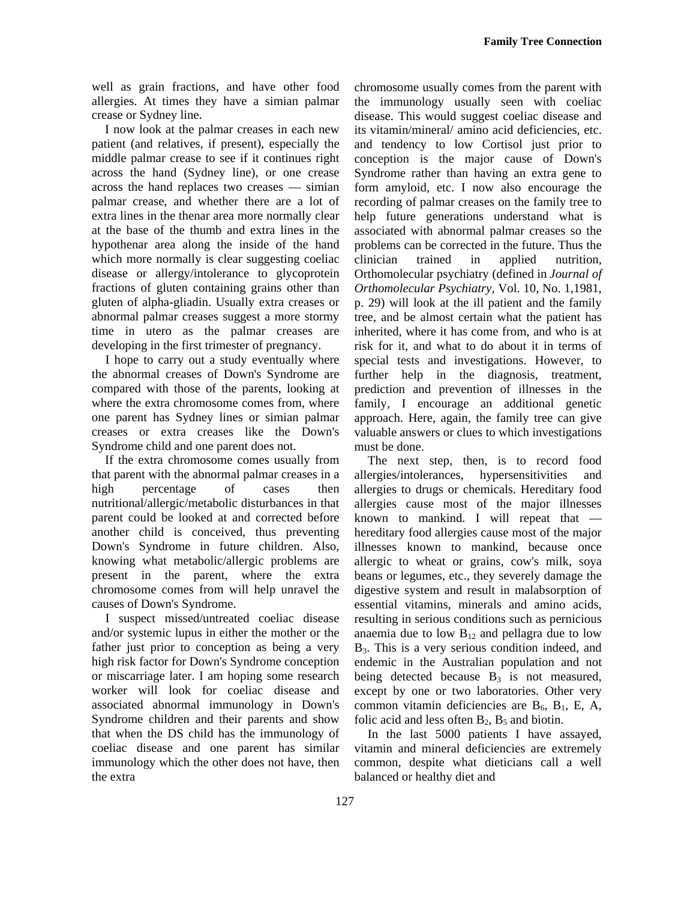well as grain fractions, and have other food allergies. At times they have a simian palmar crease or Sydney line.

I now look at the palmar creases in each new patient (and relatives, if present), especially the middle palmar crease to see if it continues right across the hand (Sydney line), or one crease across the hand replaces two creases — simian palmar crease, and whether there are a lot of extra lines in the thenar area more normally clear at the base of the thumb and extra lines in the hypothenar area along the inside of the hand which more normally is clear suggesting coeliac disease or allergy/intolerance to glycoprotein fractions of gluten containing grains other than gluten of alpha-gliadin. Usually extra creases or abnormal palmar creases suggest a more stormy time in utero as the palmar creases are developing in the first trimester of pregnancy.

I hope to carry out a study eventually where the abnormal creases of Down's Syndrome are compared with those of the parents, looking at where the extra chromosome comes from, where one parent has Sydney lines or simian palmar creases or extra creases like the Down's Syndrome child and one parent does not.

If the extra chromosome comes usually from that parent with the abnormal palmar creases in a high percentage of cases then nutritional/allergic/metabolic disturbances in that parent could be looked at and corrected before another child is conceived, thus preventing Down's Syndrome in future children. Also, knowing what metabolic/allergic problems are present in the parent, where the extra chromosome comes from will help unravel the causes of Down's Syndrome.

I suspect missed/untreated coeliac disease and/or systemic lupus in either the mother or the father just prior to conception as being a very high risk factor for Down's Syndrome conception or miscarriage later. I am hoping some research worker will look for coeliac disease and associated abnormal immunology in Down's Syndrome children and their parents and show that when the DS child has the immunology of coeliac disease and one parent has similar immunology which the other does not have, then the extra

chromosome usually comes from the parent with the immunology usually seen with coeliac disease. This would suggest coeliac disease and its vitamin/mineral/ amino acid deficiencies, etc. and tendency to low Cortisol just prior to conception is the major cause of Down's Syndrome rather than having an extra gene to form amyloid, etc. I now also encourage the recording of palmar creases on the family tree to help future generations understand what is associated with abnormal palmar creases so the problems can be corrected in the future. Thus the clinician trained in applied nutrition, Orthomolecular psychiatry (defined in *Journal of Orthomolecular Psychiatry,* Vol. 10, No. 1,1981, p. 29) will look at the ill patient and the family tree, and be almost certain what the patient has inherited, where it has come from, and who is at risk for it, and what to do about it in terms of special tests and investigations. However, to further help in the diagnosis, treatment, prediction and prevention of illnesses in the family, I encourage an additional genetic approach. Here, again, the family tree can give valuable answers or clues to which investigations must be done.

The next step, then, is to record food allergies/intolerances, hypersensitivities and allergies to drugs or chemicals. Hereditary food allergies cause most of the major illnesses known to mankind. I will repeat that hereditary food allergies cause most of the major illnesses known to mankind, because once allergic to wheat or grains, cow's milk, soya beans or legumes, etc., they severely damage the digestive system and result in malabsorption of essential vitamins, minerals and amino acids, resulting in serious conditions such as pernicious anaemia due to low  $B_{12}$  and pellagra due to low B<sub>3</sub>. This is a very serious condition indeed, and endemic in the Australian population and not being detected because  $B_3$  is not measured, except by one or two laboratories. Other very common vitamin deficiencies are  $B_6$ ,  $B_1$ , E, A, folic acid and less often  $B_2$ ,  $B_5$  and biotin.

In the last 5000 patients I have assayed, vitamin and mineral deficiencies are extremely common, despite what dieticians call a well balanced or healthy diet and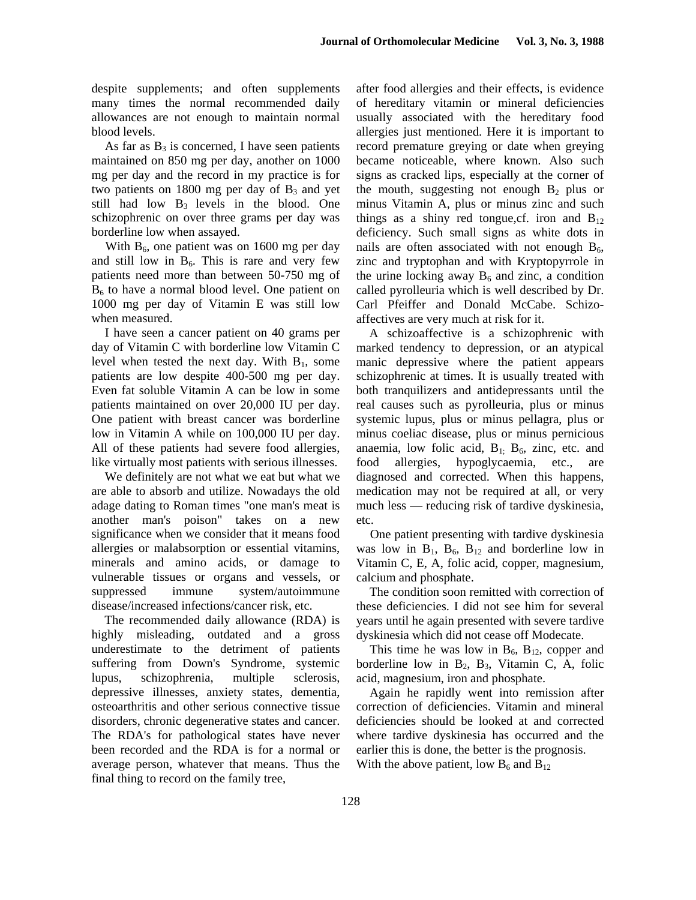despite supplements; and often supplements many times the normal recommended daily allowances are not enough to maintain normal blood levels.

As far as  $B_3$  is concerned, I have seen patients maintained on 850 mg per day, another on 1000 mg per day and the record in my practice is for two patients on 1800 mg per day of  $B_3$  and yet still had low  $B_3$  levels in the blood. One schizophrenic on over three grams per day was borderline low when assayed.

With  $B_6$ , one patient was on 1600 mg per day and still low in  $B_6$ . This is rare and very few patients need more than between 50-750 mg of B<sub>6</sub> to have a normal blood level. One patient on 1000 mg per day of Vitamin E was still low when measured.

I have seen a cancer patient on 40 grams per day of Vitamin C with borderline low Vitamin C level when tested the next day. With  $B_1$ , some patients are low despite 400-500 mg per day. Even fat soluble Vitamin A can be low in some patients maintained on over 20,000 IU per day. One patient with breast cancer was borderline low in Vitamin A while on 100,000 IU per day. All of these patients had severe food allergies, like virtually most patients with serious illnesses.

We definitely are not what we eat but what we are able to absorb and utilize. Nowadays the old adage dating to Roman times "one man's meat is another man's poison" takes on a new significance when we consider that it means food allergies or malabsorption or essential vitamins, minerals and amino acids, or damage to vulnerable tissues or organs and vessels, or suppressed immune system/autoimmune disease/increased infections/cancer risk, etc.

The recommended daily allowance (RDA) is highly misleading, outdated and a gross underestimate to the detriment of patients suffering from Down's Syndrome, systemic lupus, schizophrenia, multiple sclerosis, depressive illnesses, anxiety states, dementia, osteoarthritis and other serious connective tissue disorders, chronic degenerative states and cancer. The RDA's for pathological states have never been recorded and the RDA is for a normal or average person, whatever that means. Thus the final thing to record on the family tree,

after food allergies and their effects, is evidence of hereditary vitamin or mineral deficiencies usually associated with the hereditary food allergies just mentioned. Here it is important to record premature greying or date when greying became noticeable, where known. Also such signs as cracked lips, especially at the corner of the mouth, suggesting not enough  $B_2$  plus or minus Vitamin A, plus or minus zinc and such things as a shiny red tongue, cf. iron and  $B_{12}$ deficiency. Such small signs as white dots in nails are often associated with not enough  $B_6$ , zinc and tryptophan and with Kryptopyrrole in the urine locking away  $B_6$  and zinc, a condition called pyrolleuria which is well described by Dr. Carl Pfeiffer and Donald McCabe. Schizoaffectives are very much at risk for it.

A schizoaffective is a schizophrenic with marked tendency to depression, or an atypical manic depressive where the patient appears schizophrenic at times. It is usually treated with both tranquilizers and antidepressants until the real causes such as pyrolleuria, plus or minus systemic lupus, plus or minus pellagra, plus or minus coeliac disease, plus or minus pernicious anaemia, low folic acid,  $B_1$ ;  $B_6$ , zinc, etc. and food allergies, hypoglycaemia, etc., are diagnosed and corrected. When this happens, medication may not be required at all, or very much less — reducing risk of tardive dyskinesia, etc.

One patient presenting with tardive dyskinesia was low in  $B_1$ ,  $B_6$ ,  $B_{12}$  and borderline low in Vitamin C, E, A, folic acid, copper, magnesium, calcium and phosphate.

The condition soon remitted with correction of these deficiencies. I did not see him for several years until he again presented with severe tardive dyskinesia which did not cease off Modecate.

This time he was low in  $B_6$ ,  $B_{12}$ , copper and borderline low in  $B_2$ ,  $B_3$ , Vitamin C, A, folic acid, magnesium, iron and phosphate.

Again he rapidly went into remission after correction of deficiencies. Vitamin and mineral deficiencies should be looked at and corrected where tardive dyskinesia has occurred and the earlier this is done, the better is the prognosis. With the above patient, low  $B_6$  and  $B_{12}$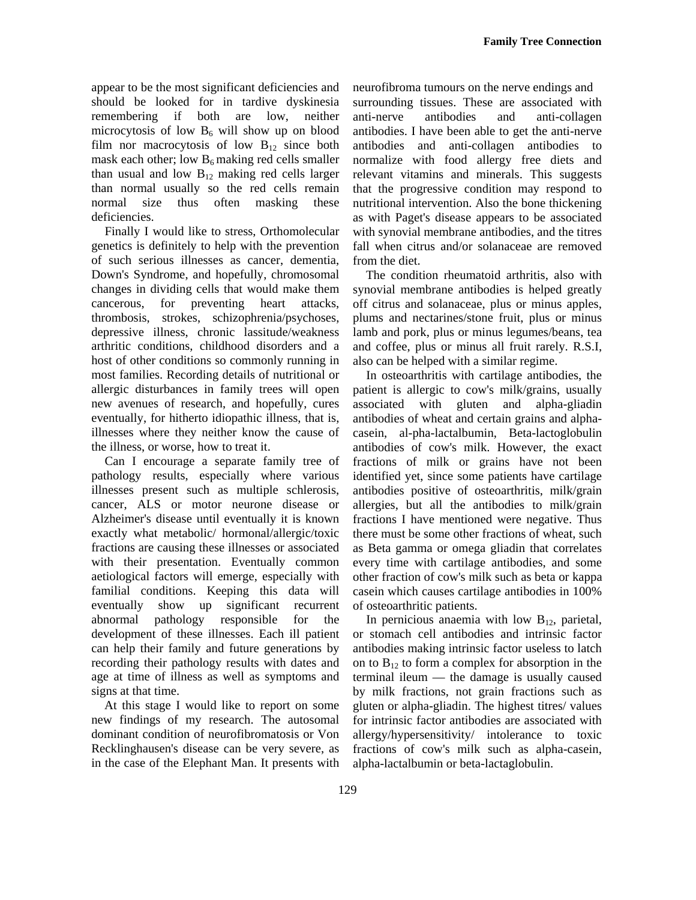appear to be the most significant deficiencies and should be looked for in tardive dyskinesia remembering if both are low, neither microcytosis of low  $B_6$  will show up on blood film nor macrocytosis of low  $B_{12}$  since both mask each other; low  $B_6$  making red cells smaller than usual and low  $B_{12}$  making red cells larger than normal usually so the red cells remain normal size thus often masking these deficiencies.

Finally I would like to stress, Orthomolecular genetics is definitely to help with the prevention of such serious illnesses as cancer, dementia, Down's Syndrome, and hopefully, chromosomal changes in dividing cells that would make them cancerous, for preventing heart attacks, thrombosis, strokes, schizophrenia/psychoses, depressive illness, chronic lassitude/weakness arthritic conditions, childhood disorders and a host of other conditions so commonly running in most families. Recording details of nutritional or allergic disturbances in family trees will open new avenues of research, and hopefully, cures eventually, for hitherto idiopathic illness, that is, illnesses where they neither know the cause of the illness, or worse, how to treat it.

Can I encourage a separate family tree of pathology results, especially where various illnesses present such as multiple schlerosis, cancer, ALS or motor neurone disease or Alzheimer's disease until eventually it is known exactly what metabolic/ hormonal/allergic/toxic fractions are causing these illnesses or associated with their presentation. Eventually common aetiological factors will emerge, especially with familial conditions. Keeping this data will eventually show up significant recurrent abnormal pathology responsible for the development of these illnesses. Each ill patient can help their family and future generations by recording their pathology results with dates and age at time of illness as well as symptoms and signs at that time.

At this stage I would like to report on some new findings of my research. The autosomal dominant condition of neurofibromatosis or Von Recklinghausen's disease can be very severe, as in the case of the Elephant Man. It presents with neurofibroma tumours on the nerve endings and surrounding tissues. These are associated with anti-nerve antibodies and anti-collagen antibodies. I have been able to get the anti-nerve antibodies and anti-collagen antibodies to normalize with food allergy free diets and relevant vitamins and minerals. This suggests that the progressive condition may respond to nutritional intervention. Also the bone thickening as with Paget's disease appears to be associated with synovial membrane antibodies, and the titres fall when citrus and/or solanaceae are removed from the diet.

The condition rheumatoid arthritis, also with synovial membrane antibodies is helped greatly off citrus and solanaceae, plus or minus apples, plums and nectarines/stone fruit, plus or minus lamb and pork, plus or minus legumes/beans, tea and coffee, plus or minus all fruit rarely. R.S.I, also can be helped with a similar regime.

In osteoarthritis with cartilage antibodies, the patient is allergic to cow's milk/grains, usually associated with gluten and alpha-gliadin antibodies of wheat and certain grains and alphacasein, al-pha-lactalbumin, Beta-lactoglobulin antibodies of cow's milk. However, the exact fractions of milk or grains have not been identified yet, since some patients have cartilage antibodies positive of osteoarthritis, milk/grain allergies, but all the antibodies to milk/grain fractions I have mentioned were negative. Thus there must be some other fractions of wheat, such as Beta gamma or omega gliadin that correlates every time with cartilage antibodies, and some other fraction of cow's milk such as beta or kappa casein which causes cartilage antibodies in 100% of osteoarthritic patients.

In pernicious anaemia with low  $B_{12}$ , parietal, or stomach cell antibodies and intrinsic factor antibodies making intrinsic factor useless to latch on to  $B_{12}$  to form a complex for absorption in the terminal ileum — the damage is usually caused by milk fractions, not grain fractions such as gluten or alpha-gliadin. The highest titres/ values for intrinsic factor antibodies are associated with allergy/hypersensitivity/ intolerance to toxic fractions of cow's milk such as alpha-casein, alpha-lactalbumin or beta-lactaglobulin.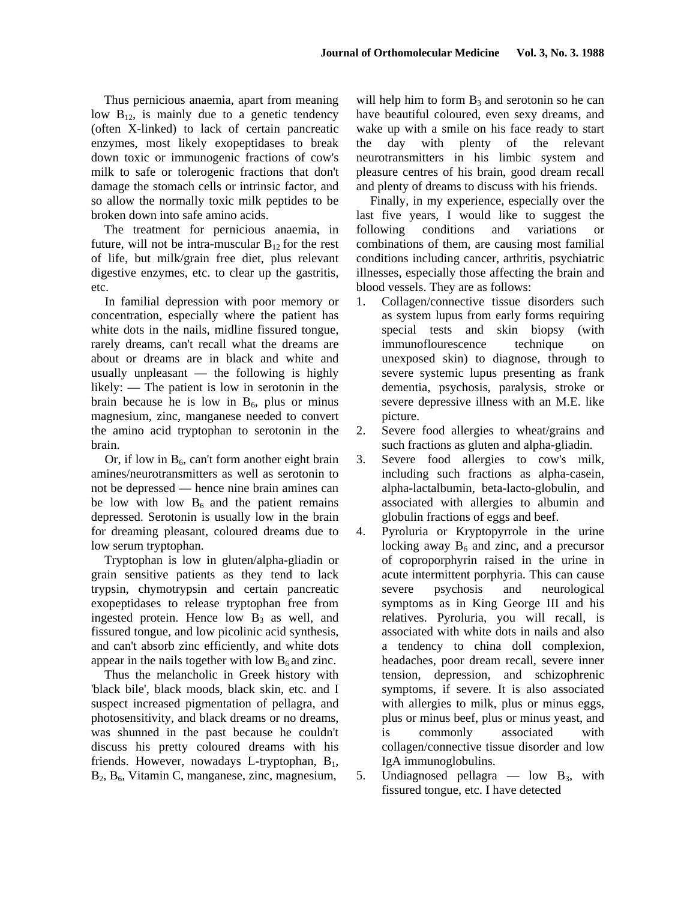Thus pernicious anaemia, apart from meaning low  $B_{12}$ , is mainly due to a genetic tendency (often X-linked) to lack of certain pancreatic enzymes, most likely exopeptidases to break down toxic or immunogenic fractions of cow's milk to safe or tolerogenic fractions that don't damage the stomach cells or intrinsic factor, and so allow the normally toxic milk peptides to be broken down into safe amino acids.

The treatment for pernicious anaemia, in future, will not be intra-muscular  $B_{12}$  for the rest of life, but milk/grain free diet, plus relevant digestive enzymes, etc. to clear up the gastritis, etc.

In familial depression with poor memory or concentration, especially where the patient has white dots in the nails, midline fissured tongue, rarely dreams, can't recall what the dreams are about or dreams are in black and white and usually unpleasant — the following is highly likely: — The patient is low in serotonin in the brain because he is low in  $B_6$ , plus or minus magnesium, zinc, manganese needed to convert the amino acid tryptophan to serotonin in the brain.

Or, if low in  $B_6$ , can't form another eight brain amines/neurotransmitters as well as serotonin to not be depressed — hence nine brain amines can be low with low  $B_6$  and the patient remains depressed. Serotonin is usually low in the brain for dreaming pleasant, coloured dreams due to low serum tryptophan.

Tryptophan is low in gluten/alpha-gliadin or grain sensitive patients as they tend to lack trypsin, chymotrypsin and certain pancreatic exopeptidases to release tryptophan free from ingested protein. Hence low  $B_3$  as well, and fissured tongue, and low picolinic acid synthesis, and can't absorb zinc efficiently, and white dots appear in the nails together with low  $B_6$  and zinc.

Thus the melancholic in Greek history with 'black bile', black moods, black skin, etc. and I suspect increased pigmentation of pellagra, and photosensitivity, and black dreams or no dreams, was shunned in the past because he couldn't discuss his pretty coloured dreams with his friends. However, nowadays L-tryptophan,  $B_1$ , B<sub>2</sub>, B<sub>6</sub>, Vitamin C, manganese, zinc, magnesium,

will help him to form  $B_3$  and serotonin so he can have beautiful coloured, even sexy dreams, and wake up with a smile on his face ready to start the day with plenty of the relevant neurotransmitters in his limbic system and pleasure centres of his brain, good dream recall and plenty of dreams to discuss with his friends.

Finally, in my experience, especially over the last five years, I would like to suggest the following conditions and variations or combinations of them, are causing most familial conditions including cancer, arthritis, psychiatric illnesses, especially those affecting the brain and blood vessels. They are as follows:

- 1. Collagen/connective tissue disorders such as system lupus from early forms requiring special tests and skin biopsy (with immunoflourescence technique on unexposed skin) to diagnose, through to severe systemic lupus presenting as frank dementia, psychosis, paralysis, stroke or severe depressive illness with an M.E. like picture.
- 2. Severe food allergies to wheat/grains and such fractions as gluten and alpha-gliadin.
- 3. Severe food allergies to cow's milk, including such fractions as alpha-casein, alpha-lactalbumin, beta-lacto-globulin, and associated with allergies to albumin and globulin fractions of eggs and beef.
- 4. Pyroluria or Kryptopyrrole in the urine locking away  $B_6$  and zinc, and a precursor of coproporphyrin raised in the urine in acute intermittent porphyria. This can cause severe psychosis and neurological symptoms as in King George III and his relatives. Pyroluria, you will recall, is associated with white dots in nails and also a tendency to china doll complexion, headaches, poor dream recall, severe inner tension, depression, and schizophrenic symptoms, if severe. It is also associated with allergies to milk, plus or minus eggs, plus or minus beef, plus or minus yeast, and is commonly associated with collagen/connective tissue disorder and low IgA immunoglobulins.
- 5. Undiagnosed pellagra low  $B_3$ , with fissured tongue, etc. I have detected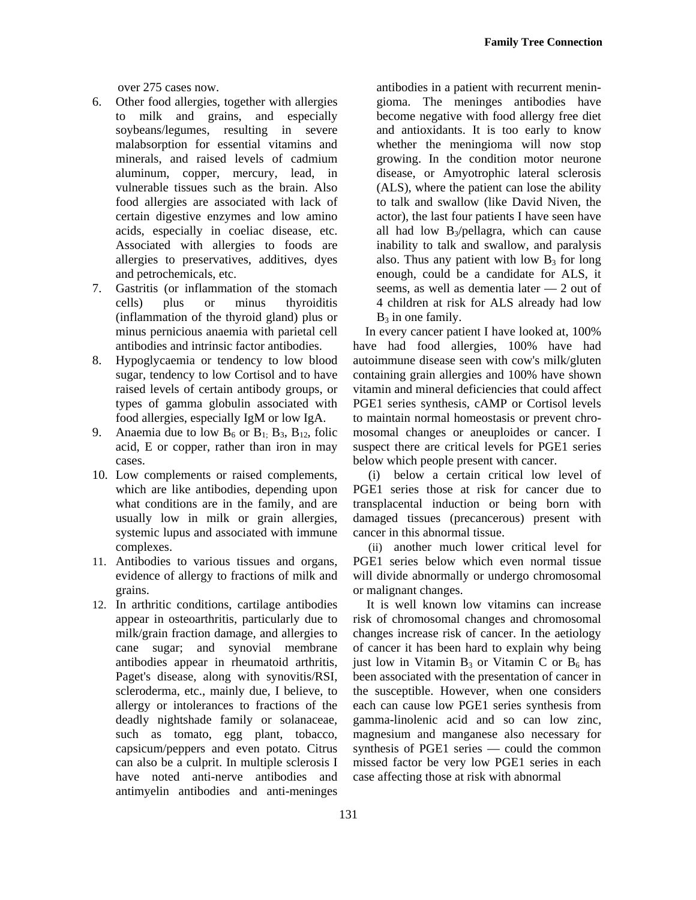over 275 cases now.

- 6. Other food allergies, together with allergies to milk and grains, and especially soybeans/legumes, resulting in severe malabsorption for essential vitamins and minerals, and raised levels of cadmium aluminum, copper, mercury, lead, in vulnerable tissues such as the brain. Also food allergies are associated with lack of certain digestive enzymes and low amino acids, especially in coeliac disease, etc. Associated with allergies to foods are allergies to preservatives, additives, dyes and petrochemicals, etc.
- 7. Gastritis (or inflammation of the stomach cells) plus or minus thyroiditis (inflammation of the thyroid gland) plus or minus pernicious anaemia with parietal cell antibodies and intrinsic factor antibodies.
- 8. Hypoglycaemia or tendency to low blood sugar, tendency to low Cortisol and to have raised levels of certain antibody groups, or types of gamma globulin associated with food allergies, especially IgM or low IgA.
- 9. Anaemia due to low  $B_6$  or  $B_1$ ;  $B_3$ ,  $B_{12}$ , folic acid, E or copper, rather than iron in may cases.
- 10. Low complements or raised complements, which are like antibodies, depending upon what conditions are in the family, and are usually low in milk or grain allergies, systemic lupus and associated with immune complexes.
- 11. Antibodies to various tissues and organs, evidence of allergy to fractions of milk and grains.
- 12. In arthritic conditions, cartilage antibodies appear in osteoarthritis, particularly due to milk/grain fraction damage, and allergies to cane sugar; and synovial membrane antibodies appear in rheumatoid arthritis, Paget's disease, along with synovitis/RSI, scleroderma, etc., mainly due, I believe, to allergy or intolerances to fractions of the deadly nightshade family or solanaceae, such as tomato, egg plant, tobacco, capsicum/peppers and even potato. Citrus can also be a culprit. In multiple sclerosis I have noted anti-nerve antibodies and antimyelin antibodies and anti-meninges

antibodies in a patient with recurrent meningioma. The meninges antibodies have become negative with food allergy free diet and antioxidants. It is too early to know whether the meningioma will now stop growing. In the condition motor neurone disease, or Amyotrophic lateral sclerosis (ALS), where the patient can lose the ability to talk and swallow (like David Niven, the actor), the last four patients I have seen have all had low  $B_3$ /pellagra, which can cause inability to talk and swallow, and paralysis also. Thus any patient with low  $B_3$  for long enough, could be a candidate for ALS, it seems, as well as dementia later — 2 out of 4 children at risk for ALS already had low  $B_3$  in one family.

In every cancer patient I have looked at, 100% have had food allergies, 100% have had autoimmune disease seen with cow's milk/gluten containing grain allergies and 100% have shown vitamin and mineral deficiencies that could affect PGE1 series synthesis, cAMP or Cortisol levels to maintain normal homeostasis or prevent chromosomal changes or aneuploides or cancer. I suspect there are critical levels for PGE1 series below which people present with cancer.

(i) below a certain critical low level of PGE1 series those at risk for cancer due to transplacental induction or being born with damaged tissues (precancerous) present with cancer in this abnormal tissue.

(ii) another much lower critical level for PGE1 series below which even normal tissue will divide abnormally or undergo chromosomal or malignant changes.

It is well known low vitamins can increase risk of chromosomal changes and chromosomal changes increase risk of cancer. In the aetiology of cancer it has been hard to explain why being just low in Vitamin  $B_3$  or Vitamin C or  $B_6$  has been associated with the presentation of cancer in the susceptible. However, when one considers each can cause low PGE1 series synthesis from gamma-linolenic acid and so can low zinc, magnesium and manganese also necessary for synthesis of PGE1 series — could the common missed factor be very low PGE1 series in each case affecting those at risk with abnormal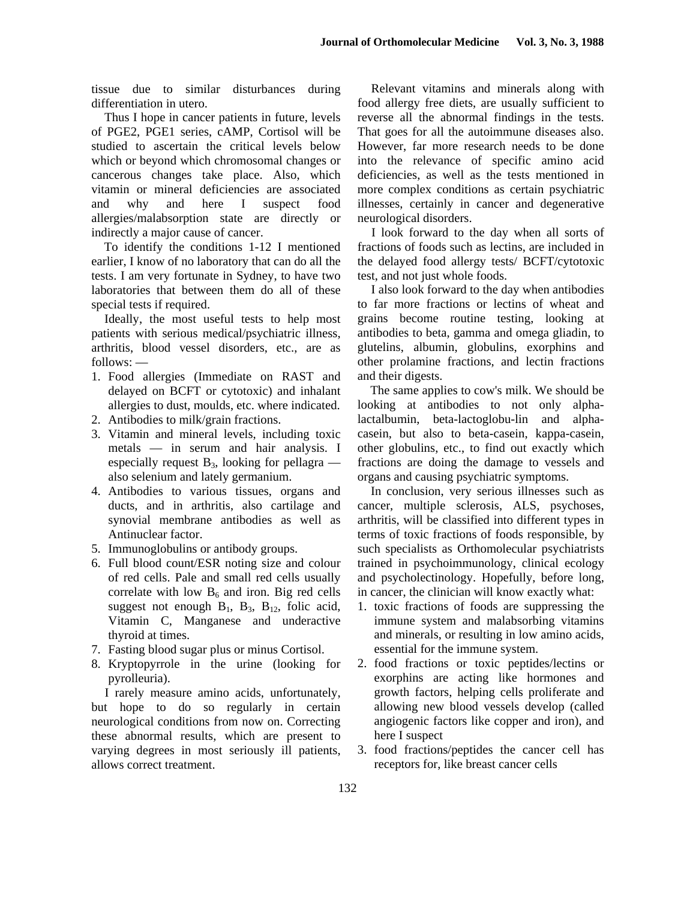tissue due to similar disturbances during differentiation in utero.

Thus I hope in cancer patients in future, levels of PGE2, PGE1 series, cAMP, Cortisol will be studied to ascertain the critical levels below which or beyond which chromosomal changes or cancerous changes take place. Also, which vitamin or mineral deficiencies are associated and why and here I suspect food allergies/malabsorption state are directly or indirectly a major cause of cancer.

To identify the conditions 1-12 I mentioned earlier, I know of no laboratory that can do all the tests. I am very fortunate in Sydney, to have two laboratories that between them do all of these special tests if required.

Ideally, the most useful tests to help most patients with serious medical/psychiatric illness, arthritis, blood vessel disorders, etc., are as follows: —

- 1. Food allergies (Immediate on RAST and delayed on BCFT or cytotoxic) and inhalant allergies to dust, moulds, etc. where indicated.
- 2. Antibodies to milk/grain fractions.
- 3. Vitamin and mineral levels, including toxic metals — in serum and hair analysis. I especially request  $B_3$ , looking for pellagra also selenium and lately germanium.
- 4. Antibodies to various tissues, organs and ducts, and in arthritis, also cartilage and synovial membrane antibodies as well as Antinuclear factor.
- 5. Immunoglobulins or antibody groups.
- 6. Full blood count/ESR noting size and colour of red cells. Pale and small red cells usually correlate with low  $B_6$  and iron. Big red cells suggest not enough  $B_1$ ,  $B_3$ ,  $B_{12}$ , folic acid, Vitamin C, Manganese and underactive thyroid at times.
- 7. Fasting blood sugar plus or minus Cortisol.
- 8. Kryptopyrrole in the urine (looking for pyrolleuria).

I rarely measure amino acids, unfortunately, but hope to do so regularly in certain neurological conditions from now on. Correcting these abnormal results, which are present to varying degrees in most seriously ill patients, allows correct treatment.

Relevant vitamins and minerals along with food allergy free diets, are usually sufficient to reverse all the abnormal findings in the tests. That goes for all the autoimmune diseases also. However, far more research needs to be done into the relevance of specific amino acid deficiencies, as well as the tests mentioned in more complex conditions as certain psychiatric illnesses, certainly in cancer and degenerative neurological disorders.

I look forward to the day when all sorts of fractions of foods such as lectins, are included in the delayed food allergy tests/ BCFT/cytotoxic test, and not just whole foods.

I also look forward to the day when antibodies to far more fractions or lectins of wheat and grains become routine testing, looking at antibodies to beta, gamma and omega gliadin, to glutelins, albumin, globulins, exorphins and other prolamine fractions, and lectin fractions and their digests.

The same applies to cow's milk. We should be looking at antibodies to not only alphalactalbumin, beta-lactoglobu-lin and alphacasein, but also to beta-casein, kappa-casein, other globulins, etc., to find out exactly which fractions are doing the damage to vessels and organs and causing psychiatric symptoms.

In conclusion, very serious illnesses such as cancer, multiple sclerosis, ALS, psychoses, arthritis, will be classified into different types in terms of toxic fractions of foods responsible, by such specialists as Orthomolecular psychiatrists trained in psychoimmunology, clinical ecology and psycholectinology. Hopefully, before long, in cancer, the clinician will know exactly what:

- 1. toxic fractions of foods are suppressing the immune system and malabsorbing vitamins and minerals, or resulting in low amino acids, essential for the immune system.
- 2. food fractions or toxic peptides/lectins or exorphins are acting like hormones and growth factors, helping cells proliferate and allowing new blood vessels develop (called angiogenic factors like copper and iron), and here I suspect
- 3. food fractions/peptides the cancer cell has receptors for, like breast cancer cells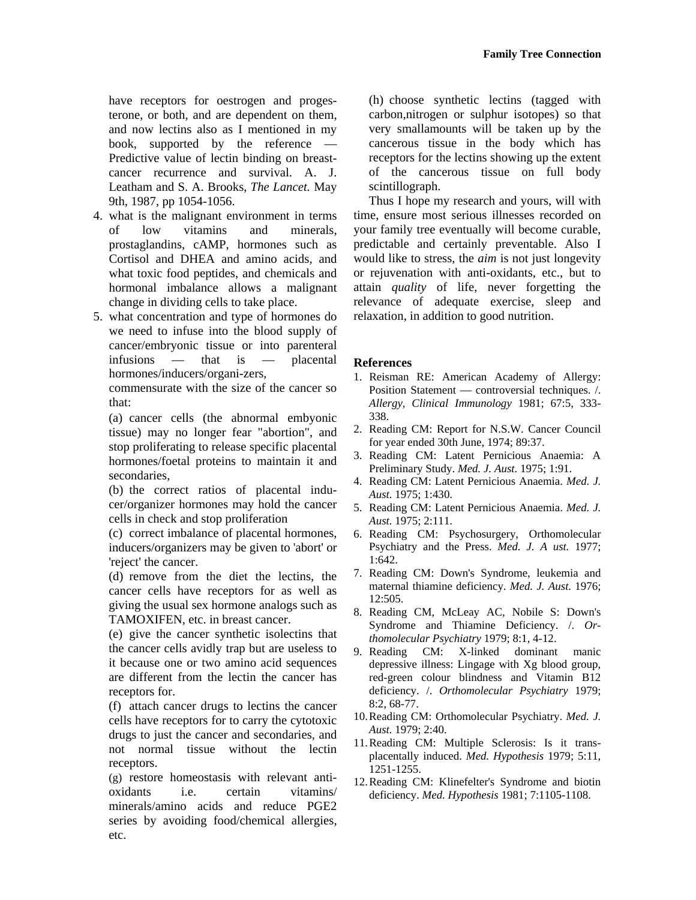have receptors for oestrogen and progesterone, or both, and are dependent on them, and now lectins also as I mentioned in my book, supported by the reference Predictive value of lectin binding on breastcancer recurrence and survival. A. J. Leatham and S. A. Brooks, *The Lancet.* May 9th, 1987, pp 1054-1056.

- 4. what is the malignant environment in terms of low vitamins and minerals, prostaglandins, cAMP, hormones such as Cortisol and DHEA and amino acids, and what toxic food peptides, and chemicals and hormonal imbalance allows a malignant change in dividing cells to take place.
- 5. what concentration and type of hormones do we need to infuse into the blood supply of cancer/embryonic tissue or into parenteral infusions — that is — placental hormones/inducers/organi-zers,

commensurate with the size of the cancer so that:

(a) cancer cells (the abnormal embyonic tissue) may no longer fear "abortion", and stop proliferating to release specific placental hormones/foetal proteins to maintain it and secondaries,

(b) the correct ratios of placental inducer/organizer hormones may hold the cancer cells in check and stop proliferation

(c) correct imbalance of placental hormones, inducers/organizers may be given to 'abort' or 'reject' the cancer.

(d) remove from the diet the lectins, the cancer cells have receptors for as well as giving the usual sex hormone analogs such as TAMOXIFEN, etc. in breast cancer.

(e) give the cancer synthetic isolectins that the cancer cells avidly trap but are useless to it because one or two amino acid sequences are different from the lectin the cancer has receptors for.

(f) attach cancer drugs to lectins the cancer cells have receptors for to carry the cytotoxic drugs to just the cancer and secondaries, and not normal tissue without the lectin receptors.

(g) restore homeostasis with relevant antioxidants i.e. certain vitamins/ minerals/amino acids and reduce PGE2 series by avoiding food/chemical allergies, etc.

(h) choose synthetic lectins (tagged with carbon,nitrogen or sulphur isotopes) so that very smallamounts will be taken up by the cancerous tissue in the body which has receptors for the lectins showing up the extent of the cancerous tissue on full body scintillograph.

Thus I hope my research and yours, will with time, ensure most serious illnesses recorded on your family tree eventually will become curable, predictable and certainly preventable. Also I would like to stress, the *aim* is not just longevity or rejuvenation with anti-oxidants, etc., but to attain *quality* of life, never forgetting the relevance of adequate exercise, sleep and relaxation, in addition to good nutrition.

## **References**

- 1. Reisman RE: American Academy of Allergy: Position Statement — controversial techniques. /. *Allergy, Clinical Immunology* 1981; 67:5, 333- 338.
- 2. Reading CM: Report for N.S.W. Cancer Council for year ended 30th June, 1974; 89:37.
- 3. Reading CM: Latent Pernicious Anaemia: A Preliminary Study. *Med. J. Aust.* 1975; 1:91.
- 4. Reading CM: Latent Pernicious Anaemia. *Med. J. Aust.* 1975; 1:430.
- 5. Reading CM: Latent Pernicious Anaemia. *Med. J. Aust.* 1975; 2:111.
- 6. Reading CM: Psychosurgery, Orthomolecular Psychiatry and the Press. *Med. J. A ust.* 1977; 1:642.
- 7. Reading CM: Down's Syndrome, leukemia and maternal thiamine deficiency. *Med. J. Aust.* 1976; 12:505.
- 8. Reading CM, McLeay AC, Nobile S: Down's Syndrome and Thiamine Deficiency. /. *Orthomolecular Psychiatry* 1979; 8:1, 4-12.
- 9. Reading CM: X-linked dominant manic depressive illness: Lingage with Xg blood group, red-green colour blindness and Vitamin B12 deficiency. /. *Orthomolecular Psychiatry* 1979; 8:2, 68-77.
- 10. Reading CM: Orthomolecular Psychiatry. *Med. J. Aust.* 1979; 2:40.
- 11. Reading CM: Multiple Sclerosis: Is it transplacentally induced. *Med. Hypothesis* 1979; 5:11, 1251-1255.
- 12. Reading CM: Klinefelter's Syndrome and biotin deficiency. *Med. Hypothesis* 1981; 7:1105-1108.